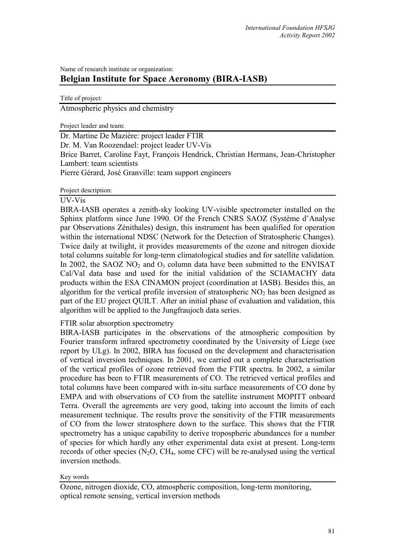# Name of research institute or organization: **Belgian Institute for Space Aeronomy (BIRA-IASB)**

Title of project:

Atmospheric physics and chemistry

Project leader and team:

Dr. Martine De Mazière: project leader FTIR Dr. M. Van Roozendael: project leader UV-Vis Brice Barret, Caroline Fayt, François Hendrick, Christian Hermans, Jean-Christopher Lambert: team scientists Pierre Gérard, José Granville: team support engineers

Project description:

## UV-Vis

BIRA-IASB operates a zenith-sky looking UV-visible spectrometer installed on the Sphinx platform since June 1990. Of the French CNRS SAOZ (Système d'Analyse par Observations Zénithales) design, this instrument has been qualified for operation within the international NDSC (Network for the Detection of Stratospheric Changes). Twice daily at twilight, it provides measurements of the ozone and nitrogen dioxide total columns suitable for long-term climatological studies and for satellite validation. In 2002, the SAOZ NO<sub>2</sub> and  $O_3$  column data have been submitted to the ENVISAT Cal/Val data base and used for the initial validation of the SCIAMACHY data products within the ESA CINAMON project (coordination at IASB). Besides this, an algorithm for the vertical profile inversion of stratospheric  $NO<sub>2</sub>$  has been designed as part of the EU project QUILT. After an initial phase of evaluation and validation, this algorithm will be applied to the Jungfraujoch data series.

## FTIR solar absorption spectrometry

BIRA-IASB participates in the observations of the atmospheric composition by Fourier transform infrared spectrometry coordinated by the University of Liege (see report by ULg). In 2002, BIRA has focused on the development and characterisation of vertical inversion techniques. In 2001, we carried out a complete characterisation of the vertical profiles of ozone retrieved from the FTIR spectra. In 2002, a similar procedure has been to FTIR measurements of CO. The retrieved vertical profiles and total columns have been compared with in-situ surface measurements of CO done by EMPA and with observations of CO from the satellite instrument MOPITT onboard Terra. Overall the agreements are very good, taking into account the limits of each measurement technique. The results prove the sensitivity of the FTIR measurements of CO from the lower stratosphere down to the surface. This shows that the FTIR spectrometry has a unique capability to derive tropospheric abundances for a number of species for which hardly any other experimental data exist at present. Long-term records of other species  $(N_2O, CH_4,$  some CFC) will be re-analysed using the vertical inversion methods.

#### Key words

Ozone, nitrogen dioxide, CO, atmospheric composition, long-term monitoring, optical remote sensing, vertical inversion methods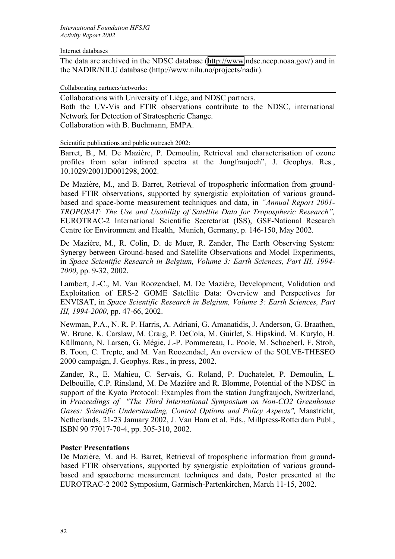### Internet databases

The data are archived in the NDSC database ([http://www.](http://www/)ndsc.ncep.noaa.gov/) and in the NADIR/NILU database (http://www.nilu.no/projects/nadir).

### Collaborating partners/networks:

Collaborations with University of Liège, and NDSC partners. Both the UV-Vis and FTIR observations contribute to the NDSC, international Network for Detection of Stratospheric Change. Collaboration with B. Buchmann, EMPA.

Scientific publications and public outreach 2002:

Barret, B., M. De Mazière, P. Demoulin, Retrieval and characterisation of ozone profiles from solar infrared spectra at the Jungfraujoch", J. Geophys. Res., 10.1029/2001JD001298, 2002.

De Mazière, M., and B. Barret, Retrieval of tropospheric information from groundbased FTIR observations, supported by synergistic exploitation of various groundbased and space-borne measurement techniques and data, in *"Annual Report 2001- TROPOSAT: The Use and Usability of Satellite Data for Tropospheric Research",* EUROTRAC-2 International Scientific Secretariat (ISS), GSF-National Research Centre for Environment and Health, Munich, Germany, p. 146-150, May 2002.

De Mazière, M., R. Colin, D. de Muer, R. Zander, The Earth Observing System: Synergy between Ground-based and Satellite Observations and Model Experiments, in *Space Scientific Research in Belgium, Volume 3: Earth Sciences, Part III, 1994- 2000*, pp. 9-32, 2002.

Lambert, J.-C., M. Van Roozendael, M. De Mazière, Development, Validation and Exploitation of ERS-2 GOME Satellite Data: Overview and Perspectives for ENVISAT, in *Space Scientific Research in Belgium, Volume 3: Earth Sciences, Part III, 1994-2000*, pp. 47-66, 2002.

Newman, P.A., N. R. P. Harris, A. Adriani, G. Amanatidis, J. Anderson, G. Braathen, W. Brune, K. Carslaw, M. Craig, P. DeCola, M. Guirlet, S. Hipskind, M. Kurylo, H. Küllmann, N. Larsen, G. Mégie, J.-P. Pommereau, L. Poole, M. Schoeberl, F. Stroh, B. Toon, C. Trepte, and M. Van Roozendael, An overview of the SOLVE-THESEO 2000 campaign, J. Geophys. Res., in press, 2002.

Zander, R., E. Mahieu, C. Servais, G. Roland, P. Duchatelet, P. Demoulin, L. Delbouille, C.P. Rinsland, M. De Mazière and R. Blomme, Potential of the NDSC in support of the Kyoto Protocol: Examples from the station Jungfraujoch, Switzerland, in *Proceedings of "The Third International Symposium on Non-CO2 Greenhouse Gases: Scientific Understanding, Control Options and Policy Aspects",* Maastricht, Netherlands, 21-23 January 2002, J. Van Ham et al. Eds., Millpress-Rotterdam Publ., ISBN 90 77017-70-4, pp. 305-310, 2002.

## **Poster Presentations**

De Mazière, M. and B. Barret, Retrieval of tropospheric information from groundbased FTIR observations, supported by synergistic exploitation of various groundbased and spaceborne measurement techniques and data, Poster presented at the EUROTRAC-2 2002 Symposium, Garmisch-Partenkirchen, March 11-15, 2002.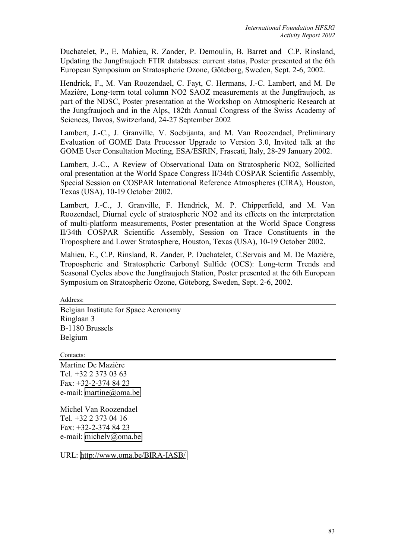Duchatelet, P., E. Mahieu, R. Zander, P. Demoulin, B. Barret and C.P. Rinsland, Updating the Jungfraujoch FTIR databases: current status, Poster presented at the 6th European Symposium on Stratospheric Ozone, Göteborg, Sweden, Sept. 2-6, 2002.

Hendrick, F., M. Van Roozendael, C. Fayt, C. Hermans, J.-C. Lambert, and M. De Mazière, Long-term total column NO2 SAOZ measurements at the Jungfraujoch, as part of the NDSC, Poster presentation at the Workshop on Atmospheric Research at the Jungfraujoch and in the Alps, 182th Annual Congress of the Swiss Academy of Sciences, Davos, Switzerland, 24-27 September 2002

Lambert, J.-C., J. Granville, V. Soebijanta, and M. Van Roozendael, Preliminary Evaluation of GOME Data Processor Upgrade to Version 3.0, Invited talk at the GOME User Consultation Meeting, ESA/ESRIN, Frascati, Italy, 28-29 January 2002.

Lambert, J.-C., A Review of Observational Data on Stratospheric NO2, Sollicited oral presentation at the World Space Congress II/34th COSPAR Scientific Assembly, Special Session on COSPAR International Reference Atmospheres (CIRA), Houston, Texas (USA), 10-19 October 2002.

Lambert, J.-C., J. Granville, F. Hendrick, M. P. Chipperfield, and M. Van Roozendael, Diurnal cycle of stratospheric NO2 and its effects on the interpretation of multi-platform measurements, Poster presentation at the World Space Congress II/34th COSPAR Scientific Assembly, Session on Trace Constituents in the Troposphere and Lower Stratosphere, Houston, Texas (USA), 10-19 October 2002.

Mahieu, E., C.P. Rinsland, R. Zander, P. Duchatelet, C.Servais and M. De Mazière, Tropospheric and Stratospheric Carbonyl Sulfide (OCS): Long-term Trends and Seasonal Cycles above the Jungfraujoch Station, Poster presented at the 6th European Symposium on Stratospheric Ozone, Göteborg, Sweden, Sept. 2-6, 2002.

Address:

Belgian Institute for Space Aeronomy Ringlaan 3 B-1180 Brussels Belgium

Contacts:

Martine De Mazière Tel. +32 2 373 03 63 Fax: +32-2-374 84 23 e-mail: [martine@oma.be](mailto:martine@oma.be)

Michel Van Roozendael Tel. +32 2 373 04 16 Fax: +32-2-374 84 23 e-mail: [michelv@oma.be](mailto:michelv@oma.be) 

URL: <http://www.oma.be/BIRA-IASB/>